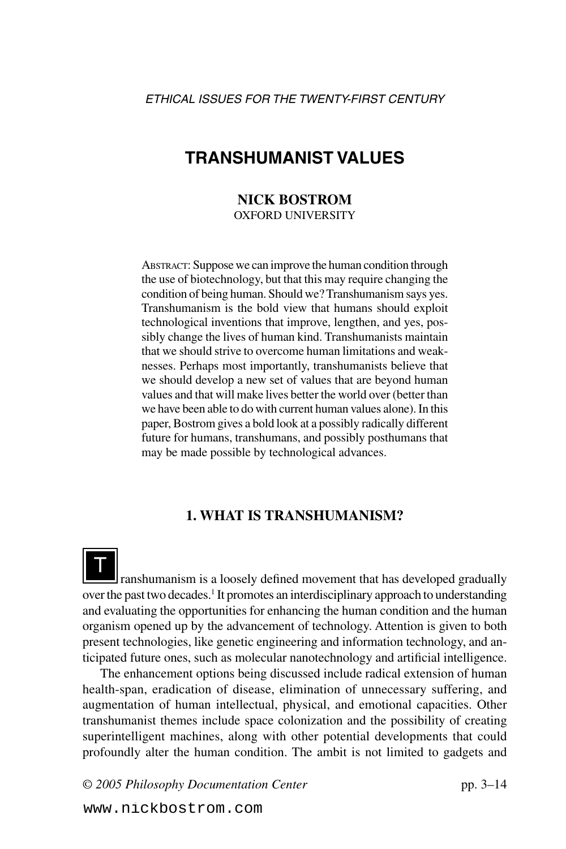# **NICK BOSTROM** OXFORD UNIVERSITY

ABSTRACT: Suppose we can improve the human condition through the use of biotechnology, but that this may require changing the condition of being human. Should we? Transhumanism says yes. Transhumanism is the bold view that humans should exploit technological inventions that improve, lengthen, and yes, possibly change the lives of human kind. Transhumanists maintain that we should strive to overcome human limitations and weaknesses. Perhaps most importantly, transhumanists believe that we should develop a new set of values that are beyond human values and that will make lives better the world over (better than we have been able to do with current human values alone). In this paper, Bostrom gives a bold look at a possibly radically different future for humans, transhumans, and possibly posthumans that may be made possible by technological advances.

# **1. WHAT IS TRANSHUMANISM?**

ranshumanism is a loosely defined movement that has developed gradually over the past two decades.<sup>1</sup> It promotes an interdisciplinary approach to understanding and evaluating the opportunities for enhancing the human condition and the human organism opened up by the advancement of technology. Attention is given to both present technologies, like genetic engineering and information technology, and anticipated future ones, such as molecular nanotechnology and artificial intelligence. T

The enhancement options being discussed include radical extension of human health-span, eradication of disease, elimination of unnecessary suffering, and augmentation of human intellectual, physical, and emotional capacities. Other transhumanist themes include space colonization and the possibility of creating superintelligent machines, along with other potential developments that could profoundly alter the human condition. The ambit is not limited to gadgets and

*© 2005 Philosophy Documentation Center* pp. 3–14 [www.nickbostrom.com](http://www.nickbostrom.com)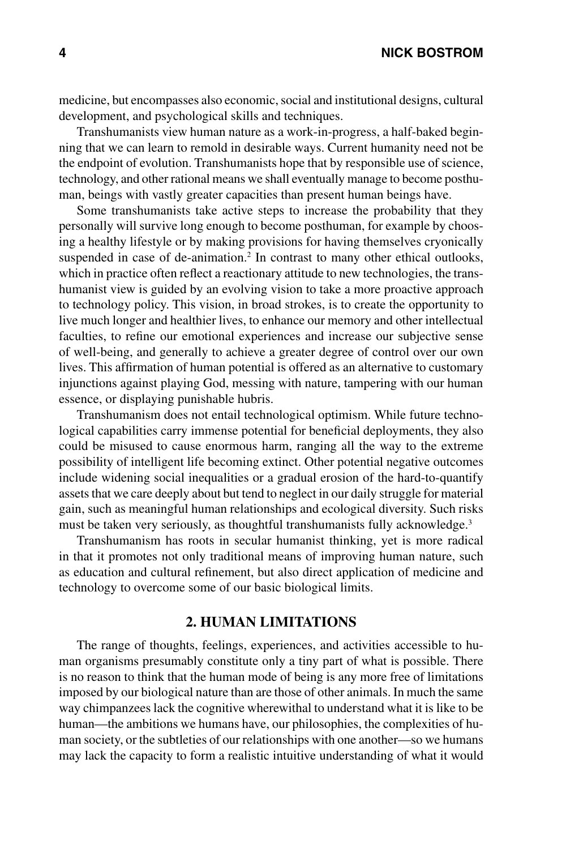**4 NICK BOSTROM**

medicine, but encompasses also economic, social and institutional designs, cultural development, and psychological skills and techniques.

Transhumanists view human nature as a work-in-progress, a half-baked beginning that we can learn to remold in desirable ways. Current humanity need not be the endpoint of evolution. Transhumanists hope that by responsible use of science, technology, and other rational means we shall eventually manage to become posthuman, beings with vastly greater capacities than present human beings have.

Some transhumanists take active steps to increase the probability that they personally will survive long enough to become posthuman, for example by choosing a healthy lifestyle or by making provisions for having themselves cryonically suspended in case of de-animation.<sup>2</sup> In contrast to many other ethical outlooks, which in practice often reflect a reactionary attitude to new technologies, the transhumanist view is guided by an evolving vision to take a more proactive approach to technology policy. This vision, in broad strokes, is to create the opportunity to live much longer and healthier lives, to enhance our memory and other intellectual faculties, to refine our emotional experiences and increase our subjective sense of well-being, and generally to achieve a greater degree of control over our own lives. This affirmation of human potential is offered as an alternative to customary injunctions against playing God, messing with nature, tampering with our human essence, or displaying punishable hubris.

Transhumanism does not entail technological optimism. While future technological capabilities carry immense potential for beneficial deployments, they also could be misused to cause enormous harm, ranging all the way to the extreme possibility of intelligent life becoming extinct. Other potential negative outcomes include widening social inequalities or a gradual erosion of the hard-to-quantify assets that we care deeply about but tend to neglect in our daily struggle for material gain, such as meaningful human relationships and ecological diversity. Such risks must be taken very seriously, as thoughtful transhumanists fully acknowledge.<sup>3</sup>

Transhumanism has roots in secular humanist thinking, yet is more radical in that it promotes not only traditional means of improving human nature, such as education and cultural refinement, but also direct application of medicine and technology to overcome some of our basic biological limits.

# **2. HUMAN LIMITATIONS**

The range of thoughts, feelings, experiences, and activities accessible to human organisms presumably constitute only a tiny part of what is possible. There is no reason to think that the human mode of being is any more free of limitations imposed by our biological nature than are those of other animals. In much the same way chimpanzees lack the cognitive wherewithal to understand what it is like to be human—the ambitions we humans have, our philosophies, the complexities of human society, or the subtleties of our relationships with one another—so we humans may lack the capacity to form a realistic intuitive understanding of what it would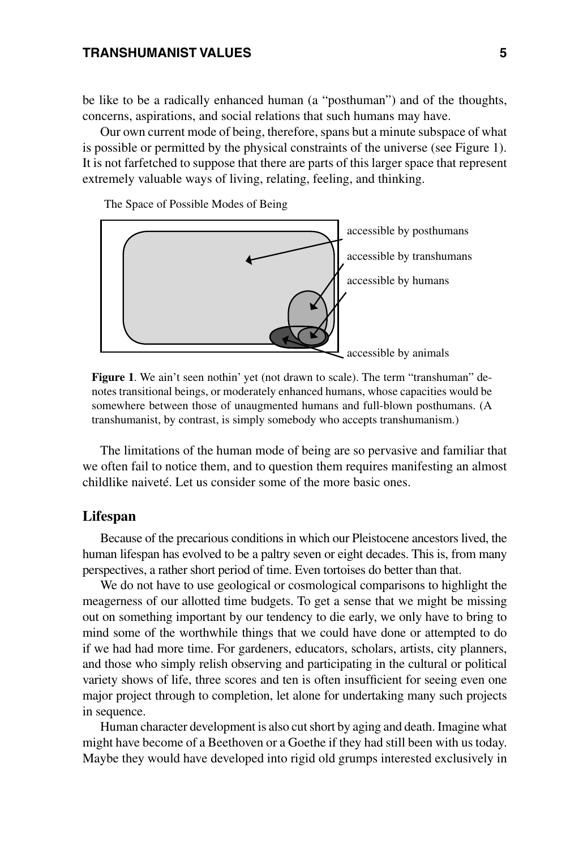be like to be a radically enhanced human (a "posthuman") and of the thoughts, concerns, aspirations, and social relations that such humans may have.

Our own current mode of being, therefore, spans but a minute subspace of what is possible or permitted by the physical constraints of the universe (see Figure 1). It is not farfetched to suppose that there are parts of this larger space that represent extremely valuable ways of living, relating, feeling, and thinking.

The Space of Possible Modes of Being



**Figure 1**. We ain't seen nothin' yet (not drawn to scale). The term "transhuman" denotes transitional beings, or moderately enhanced humans, whose capacities would be somewhere between those of unaugmented humans and full-blown posthumans. (A transhumanist, by contrast, is simply somebody who accepts transhumanism.)

The limitations of the human mode of being are so pervasive and familiar that we often fail to notice them, and to question them requires manifesting an almost childlike naiveté. Let us consider some of the more basic ones.

#### **Lifespan**

Because of the precarious conditions in which our Pleistocene ancestors lived, the human lifespan has evolved to be a paltry seven or eight decades. This is, from many perspectives, a rather short period of time. Even tortoises do better than that.

We do not have to use geological or cosmological comparisons to highlight the meagerness of our allotted time budgets. To get a sense that we might be missing out on something important by our tendency to die early, we only have to bring to mind some of the worthwhile things that we could have done or attempted to do if we had had more time. For gardeners, educators, scholars, artists, city planners, and those who simply relish observing and participating in the cultural or political variety shows of life, three scores and ten is often insufficient for seeing even one major project through to completion, let alone for undertaking many such projects in sequence.

Human character development is also cut short by aging and death. Imagine what might have become of a Beethoven or a Goethe if they had still been with us today. Maybe they would have developed into rigid old grumps interested exclusively in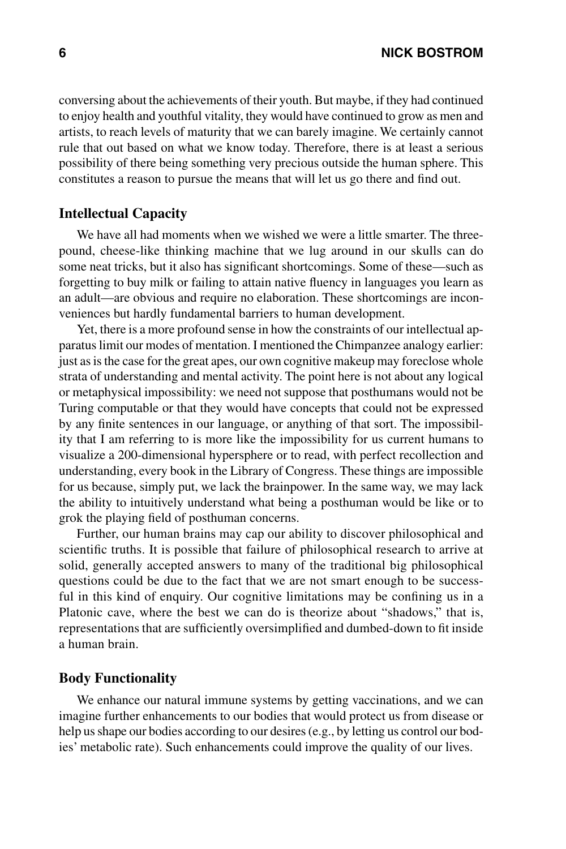conversing about the achievements of their youth. But maybe, if they had continued to enjoy health and youthful vitality, they would have continued to grow as men and artists, to reach levels of maturity that we can barely imagine. We certainly cannot rule that out based on what we know today. Therefore, there is at least a serious possibility of there being something very precious outside the human sphere. This constitutes a reason to pursue the means that will let us go there and find out.

# **Intellectual Capacity**

We have all had moments when we wished we were a little smarter. The threepound, cheese-like thinking machine that we lug around in our skulls can do some neat tricks, but it also has significant shortcomings. Some of these—such as forgetting to buy milk or failing to attain native fluency in languages you learn as an adult—are obvious and require no elaboration. These shortcomings are inconveniences but hardly fundamental barriers to human development.

Yet, there is a more profound sense in how the constraints of our intellectual apparatus limit our modes of mentation. I mentioned the Chimpanzee analogy earlier: just as is the case for the great apes, our own cognitive makeup may foreclose whole strata of understanding and mental activity. The point here is not about any logical or metaphysical impossibility: we need not suppose that posthumans would not be Turing computable or that they would have concepts that could not be expressed by any finite sentences in our language, or anything of that sort. The impossibility that I am referring to is more like the impossibility for us current humans to visualize a 200-dimensional hypersphere or to read, with perfect recollection and understanding, every book in the Library of Congress. These things are impossible for us because, simply put, we lack the brainpower. In the same way, we may lack the ability to intuitively understand what being a posthuman would be like or to grok the playing field of posthuman concerns.

Further, our human brains may cap our ability to discover philosophical and scientific truths. It is possible that failure of philosophical research to arrive at solid, generally accepted answers to many of the traditional big philosophical questions could be due to the fact that we are not smart enough to be successful in this kind of enquiry. Our cognitive limitations may be confining us in a Platonic cave, where the best we can do is theorize about "shadows," that is, representations that are sufficiently oversimplified and dumbed-down to fit inside a human brain.

#### **Body Functionality**

We enhance our natural immune systems by getting vaccinations, and we can imagine further enhancements to our bodies that would protect us from disease or help us shape our bodies according to our desires (e.g., by letting us control our bodies' metabolic rate). Such enhancements could improve the quality of our lives.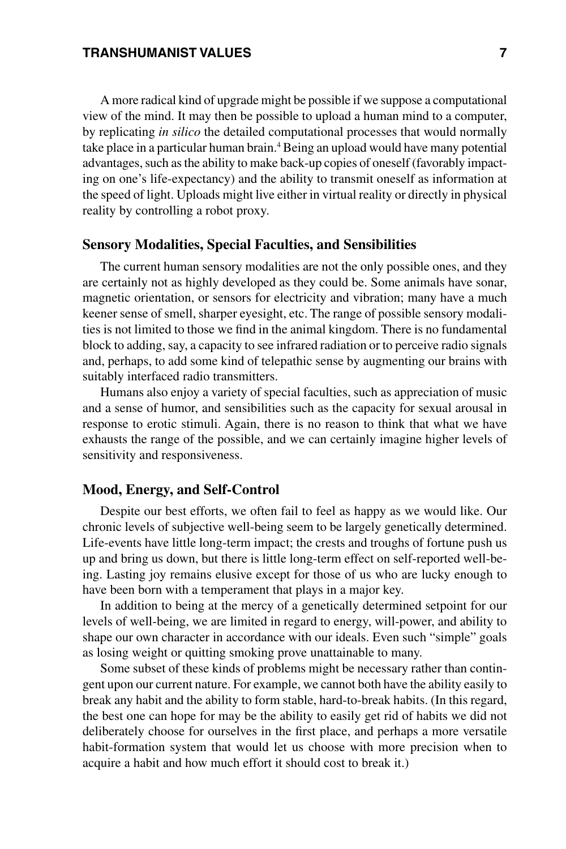A more radical kind of upgrade might be possible if we suppose a computational view of the mind. It may then be possible to upload a human mind to a computer, by replicating *in silico* the detailed computational processes that would normally take place in a particular human brain.<sup>4</sup> Being an upload would have many potential advantages, such as the ability to make back-up copies of oneself (favorably impacting on one's life-expectancy) and the ability to transmit oneself as information at the speed of light. Uploads might live either in virtual reality or directly in physical reality by controlling a robot proxy.

#### **Sensory Modalities, Special Faculties, and Sensibilities**

The current human sensory modalities are not the only possible ones, and they are certainly not as highly developed as they could be. Some animals have sonar, magnetic orientation, or sensors for electricity and vibration; many have a much keener sense of smell, sharper eyesight, etc. The range of possible sensory modalities is not limited to those we find in the animal kingdom. There is no fundamental block to adding, say, a capacity to see infrared radiation or to perceive radio signals and, perhaps, to add some kind of telepathic sense by augmenting our brains with suitably interfaced radio transmitters.

Humans also enjoy a variety of special faculties, such as appreciation of music and a sense of humor, and sensibilities such as the capacity for sexual arousal in response to erotic stimuli. Again, there is no reason to think that what we have exhausts the range of the possible, and we can certainly imagine higher levels of sensitivity and responsiveness.

#### **Mood, Energy, and Self-Control**

Despite our best efforts, we often fail to feel as happy as we would like. Our chronic levels of subjective well-being seem to be largely genetically determined. Life-events have little long-term impact; the crests and troughs of fortune push us up and bring us down, but there is little long-term effect on self-reported well-being. Lasting joy remains elusive except for those of us who are lucky enough to have been born with a temperament that plays in a major key.

In addition to being at the mercy of a genetically determined setpoint for our levels of well-being, we are limited in regard to energy, will-power, and ability to shape our own character in accordance with our ideals. Even such "simple" goals as losing weight or quitting smoking prove unattainable to many.

Some subset of these kinds of problems might be necessary rather than contingent upon our current nature. For example, we cannot both have the ability easily to break any habit and the ability to form stable, hard-to-break habits. (In this regard, the best one can hope for may be the ability to easily get rid of habits we did not deliberately choose for ourselves in the first place, and perhaps a more versatile habit-formation system that would let us choose with more precision when to acquire a habit and how much effort it should cost to break it.)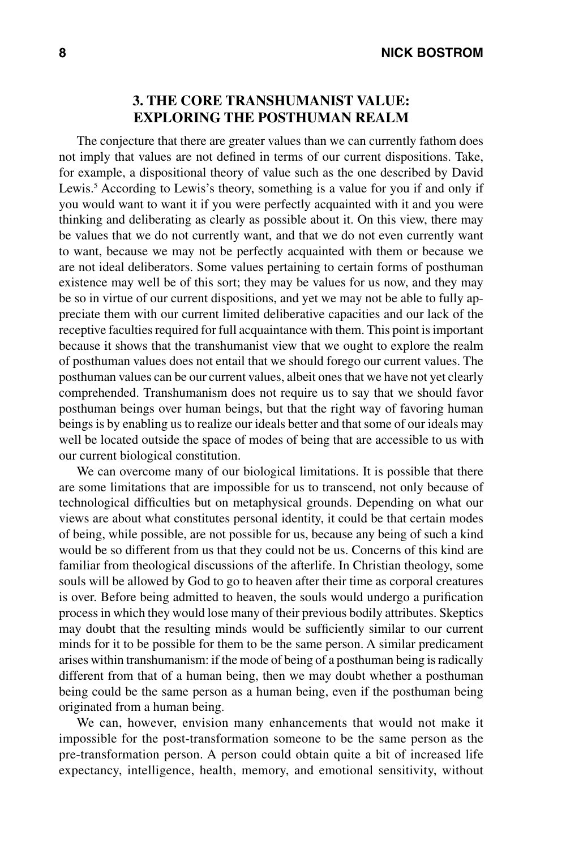# **3. THE CORE TRANSHUMANIST VALUE: EXPLORING THE POSTHUMAN REALM**

The conjecture that there are greater values than we can currently fathom does not imply that values are not defined in terms of our current dispositions. Take, for example, a dispositional theory of value such as the one described by David Lewis.<sup>5</sup> According to Lewis's theory, something is a value for you if and only if you would want to want it if you were perfectly acquainted with it and you were thinking and deliberating as clearly as possible about it. On this view, there may be values that we do not currently want, and that we do not even currently want to want, because we may not be perfectly acquainted with them or because we are not ideal deliberators. Some values pertaining to certain forms of posthuman existence may well be of this sort; they may be values for us now, and they may be so in virtue of our current dispositions, and yet we may not be able to fully appreciate them with our current limited deliberative capacities and our lack of the receptive faculties required for full acquaintance with them. This point is important because it shows that the transhumanist view that we ought to explore the realm of posthuman values does not entail that we should forego our current values. The posthuman values can be our current values, albeit ones that we have not yet clearly comprehended. Transhumanism does not require us to say that we should favor posthuman beings over human beings, but that the right way of favoring human beings is by enabling us to realize our ideals better and that some of our ideals may well be located outside the space of modes of being that are accessible to us with our current biological constitution.

We can overcome many of our biological limitations. It is possible that there are some limitations that are impossible for us to transcend, not only because of technological difficulties but on metaphysical grounds. Depending on what our views are about what constitutes personal identity, it could be that certain modes of being, while possible, are not possible for us, because any being of such a kind would be so different from us that they could not be us. Concerns of this kind are familiar from theological discussions of the afterlife. In Christian theology, some souls will be allowed by God to go to heaven after their time as corporal creatures is over. Before being admitted to heaven, the souls would undergo a purification process in which they would lose many of their previous bodily attributes. Skeptics may doubt that the resulting minds would be sufficiently similar to our current minds for it to be possible for them to be the same person. A similar predicament arises within transhumanism: if the mode of being of a posthuman being is radically different from that of a human being, then we may doubt whether a posthuman being could be the same person as a human being, even if the posthuman being originated from a human being.

We can, however, envision many enhancements that would not make it impossible for the post-transformation someone to be the same person as the pre-transformation person. A person could obtain quite a bit of increased life expectancy, intelligence, health, memory, and emotional sensitivity, without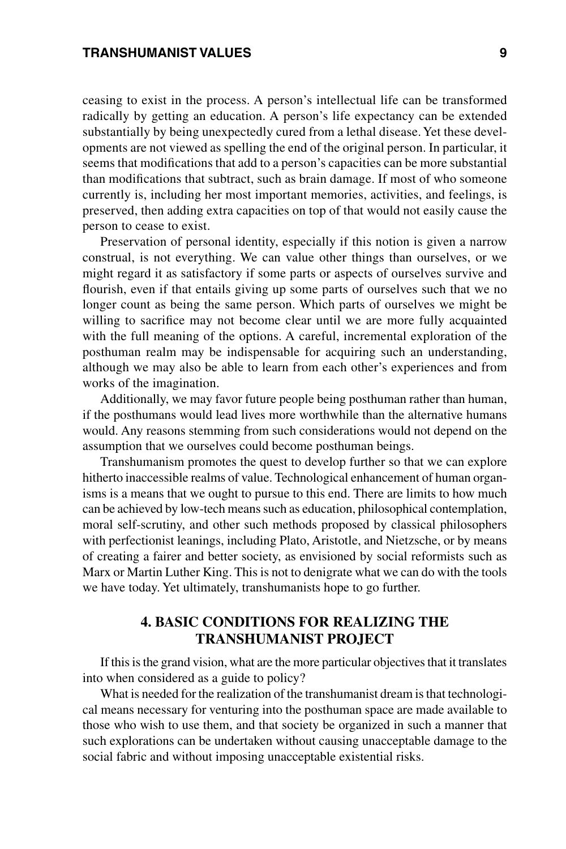ceasing to exist in the process. A person's intellectual life can be transformed radically by getting an education. A person's life expectancy can be extended substantially by being unexpectedly cured from a lethal disease. Yet these developments are not viewed as spelling the end of the original person. In particular, it seems that modifications that add to a person's capacities can be more substantial than modifications that subtract, such as brain damage. If most of who someone currently is, including her most important memories, activities, and feelings, is preserved, then adding extra capacities on top of that would not easily cause the person to cease to exist.

Preservation of personal identity, especially if this notion is given a narrow construal, is not everything. We can value other things than ourselves, or we might regard it as satisfactory if some parts or aspects of ourselves survive and flourish, even if that entails giving up some parts of ourselves such that we no longer count as being the same person. Which parts of ourselves we might be willing to sacrifice may not become clear until we are more fully acquainted with the full meaning of the options. A careful, incremental exploration of the posthuman realm may be indispensable for acquiring such an understanding, although we may also be able to learn from each other's experiences and from works of the imagination.

Additionally, we may favor future people being posthuman rather than human, if the posthumans would lead lives more worthwhile than the alternative humans would. Any reasons stemming from such considerations would not depend on the assumption that we ourselves could become posthuman beings.

Transhumanism promotes the quest to develop further so that we can explore hitherto inaccessible realms of value. Technological enhancement of human organisms is a means that we ought to pursue to this end. There are limits to how much can be achieved by low-tech means such as education, philosophical contemplation, moral self-scrutiny, and other such methods proposed by classical philosophers with perfectionist leanings, including Plato, Aristotle, and Nietzsche, or by means of creating a fairer and better society, as envisioned by social reformists such as Marx or Martin Luther King. This is not to denigrate what we can do with the tools we have today. Yet ultimately, transhumanists hope to go further.

# **4. BASIC CONDITIONS FOR REALIZING THE TRANSHUMANIST PROJECT**

If this is the grand vision, what are the more particular objectives that it translates into when considered as a guide to policy?

What is needed for the realization of the transhumanist dream is that technological means necessary for venturing into the posthuman space are made available to those who wish to use them, and that society be organized in such a manner that such explorations can be undertaken without causing unacceptable damage to the social fabric and without imposing unacceptable existential risks.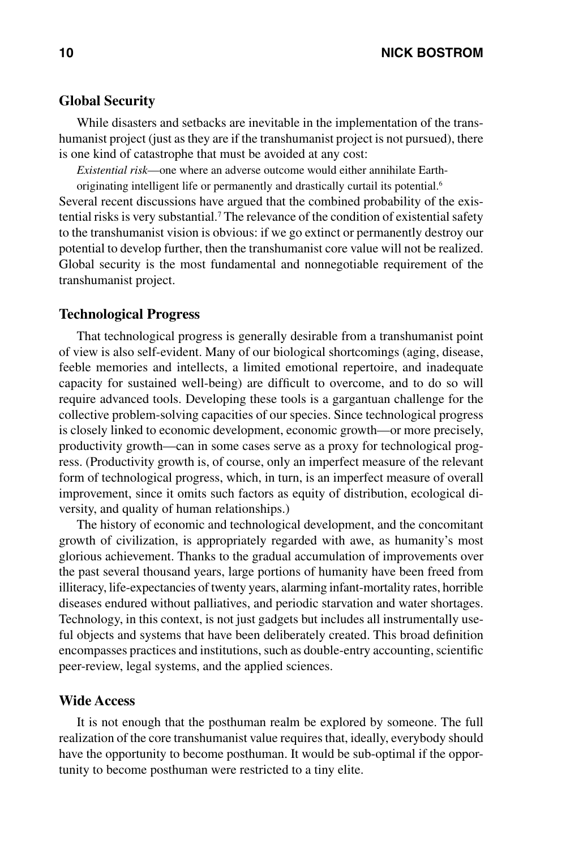#### **Global Security**

While disasters and setbacks are inevitable in the implementation of the transhumanist project (just as they are if the transhumanist project is not pursued), there is one kind of catastrophe that must be avoided at any cost:

*Existential risk*—one where an adverse outcome would either annihilate Earth-

originating intelligent life or permanently and drastically curtail its potential.6

Several recent discussions have argued that the combined probability of the existential risks is very substantial.<sup>7</sup> The relevance of the condition of existential safety to the transhumanist vision is obvious: if we go extinct or permanently destroy our potential to develop further, then the transhumanist core value will not be realized. Global security is the most fundamental and nonnegotiable requirement of the transhumanist project.

#### **Technological Progress**

That technological progress is generally desirable from a transhumanist point of view is also self-evident. Many of our biological shortcomings (aging, disease, feeble memories and intellects, a limited emotional repertoire, and inadequate capacity for sustained well-being) are difficult to overcome, and to do so will require advanced tools. Developing these tools is a gargantuan challenge for the collective problem-solving capacities of our species. Since technological progress is closely linked to economic development, economic growth—or more precisely, productivity growth—can in some cases serve as a proxy for technological progress. (Productivity growth is, of course, only an imperfect measure of the relevant form of technological progress, which, in turn, is an imperfect measure of overall improvement, since it omits such factors as equity of distribution, ecological diversity, and quality of human relationships.)

The history of economic and technological development, and the concomitant growth of civilization, is appropriately regarded with awe, as humanity's most glorious achievement. Thanks to the gradual accumulation of improvements over the past several thousand years, large portions of humanity have been freed from illiteracy, life-expectancies of twenty years, alarming infant-mortality rates, horrible diseases endured without palliatives, and periodic starvation and water shortages. Technology, in this context, is not just gadgets but includes all instrumentally useful objects and systems that have been deliberately created. This broad definition encompasses practices and institutions, such as double-entry accounting, scientific peer-review, legal systems, and the applied sciences.

#### **Wide Access**

It is not enough that the posthuman realm be explored by someone. The full realization of the core transhumanist value requires that, ideally, everybody should have the opportunity to become posthuman. It would be sub-optimal if the opportunity to become posthuman were restricted to a tiny elite.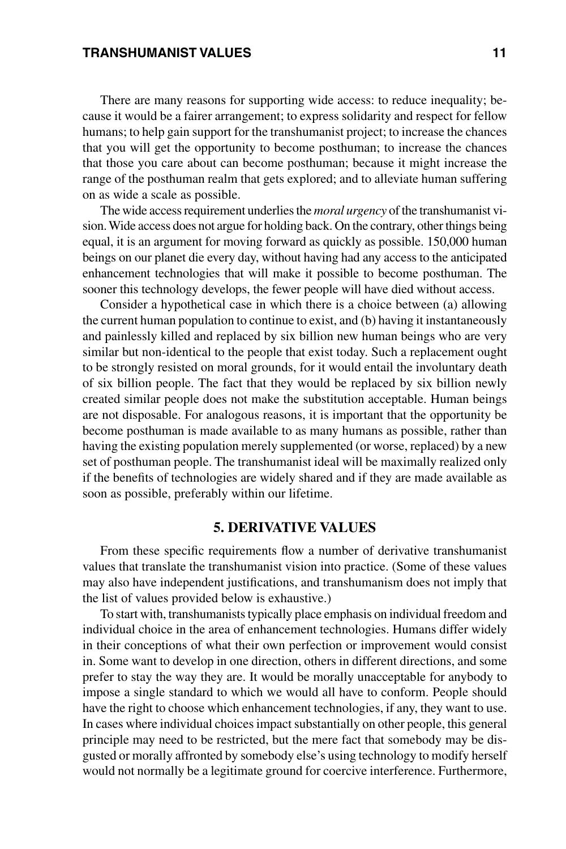There are many reasons for supporting wide access: to reduce inequality; because it would be a fairer arrangement; to express solidarity and respect for fellow humans; to help gain support for the transhumanist project; to increase the chances that you will get the opportunity to become posthuman; to increase the chances that those you care about can become posthuman; because it might increase the range of the posthuman realm that gets explored; and to alleviate human suffering on as wide a scale as possible.

The wide access requirement underlies the *moral urgency* of the transhumanist vision. Wide access does not argue for holding back. On the contrary, other things being equal, it is an argument for moving forward as quickly as possible. 150,000 human beings on our planet die every day, without having had any access to the anticipated enhancement technologies that will make it possible to become posthuman. The sooner this technology develops, the fewer people will have died without access.

Consider a hypothetical case in which there is a choice between (a) allowing the current human population to continue to exist, and (b) having it instantaneously and painlessly killed and replaced by six billion new human beings who are very similar but non-identical to the people that exist today. Such a replacement ought to be strongly resisted on moral grounds, for it would entail the involuntary death of six billion people. The fact that they would be replaced by six billion newly created similar people does not make the substitution acceptable. Human beings are not disposable. For analogous reasons, it is important that the opportunity be become posthuman is made available to as many humans as possible, rather than having the existing population merely supplemented (or worse, replaced) by a new set of posthuman people. The transhumanist ideal will be maximally realized only if the benefits of technologies are widely shared and if they are made available as soon as possible, preferably within our lifetime.

#### **5. DERIVATIVE VALUES**

From these specific requirements flow a number of derivative transhumanist values that translate the transhumanist vision into practice. (Some of these values may also have independent justifications, and transhumanism does not imply that the list of values provided below is exhaustive.)

To start with, transhumanists typically place emphasis on individual freedom and individual choice in the area of enhancement technologies. Humans differ widely in their conceptions of what their own perfection or improvement would consist in. Some want to develop in one direction, others in different directions, and some prefer to stay the way they are. It would be morally unacceptable for anybody to impose a single standard to which we would all have to conform. People should have the right to choose which enhancement technologies, if any, they want to use. In cases where individual choices impact substantially on other people, this general principle may need to be restricted, but the mere fact that somebody may be disgusted or morally affronted by somebody else's using technology to modify herself would not normally be a legitimate ground for coercive interference. Furthermore,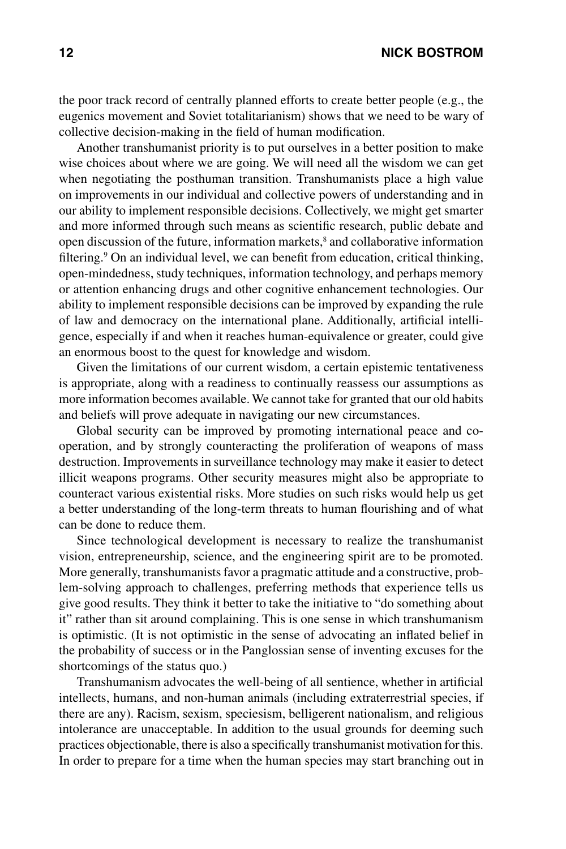#### **12** NICK BOSTROM

the poor track record of centrally planned efforts to create better people (e.g., the eugenics movement and Soviet totalitarianism) shows that we need to be wary of collective decision-making in the field of human modification.

Another transhumanist priority is to put ourselves in a better position to make wise choices about where we are going. We will need all the wisdom we can get when negotiating the posthuman transition. Transhumanists place a high value on improvements in our individual and collective powers of understanding and in our ability to implement responsible decisions. Collectively, we might get smarter and more informed through such means as scientific research, public debate and open discussion of the future, information markets,<sup>8</sup> and collaborative information filtering.<sup>9</sup> On an individual level, we can benefit from education, critical thinking, open-mindedness, study techniques, information technology, and perhaps memory or attention enhancing drugs and other cognitive enhancement technologies. Our ability to implement responsible decisions can be improved by expanding the rule of law and democracy on the international plane. Additionally, artificial intelligence, especially if and when it reaches human-equivalence or greater, could give an enormous boost to the quest for knowledge and wisdom.

Given the limitations of our current wisdom, a certain epistemic tentativeness is appropriate, along with a readiness to continually reassess our assumptions as more information becomes available. We cannot take for granted that our old habits and beliefs will prove adequate in navigating our new circumstances.

Global security can be improved by promoting international peace and cooperation, and by strongly counteracting the proliferation of weapons of mass destruction. Improvements in surveillance technology may make it easier to detect illicit weapons programs. Other security measures might also be appropriate to counteract various existential risks. More studies on such risks would help us get a better understanding of the long-term threats to human flourishing and of what can be done to reduce them.

Since technological development is necessary to realize the transhumanist vision, entrepreneurship, science, and the engineering spirit are to be promoted. More generally, transhumanists favor a pragmatic attitude and a constructive, problem-solving approach to challenges, preferring methods that experience tells us give good results. They think it better to take the initiative to "do something about it" rather than sit around complaining. This is one sense in which transhumanism is optimistic. (It is not optimistic in the sense of advocating an inflated belief in the probability of success or in the Panglossian sense of inventing excuses for the shortcomings of the status quo.)

Transhumanism advocates the well-being of all sentience, whether in artificial intellects, humans, and non-human animals (including extraterrestrial species, if there are any). Racism, sexism, speciesism, belligerent nationalism, and religious intolerance are unacceptable. In addition to the usual grounds for deeming such practices objectionable, there is also a specifically transhumanist motivation for this. In order to prepare for a time when the human species may start branching out in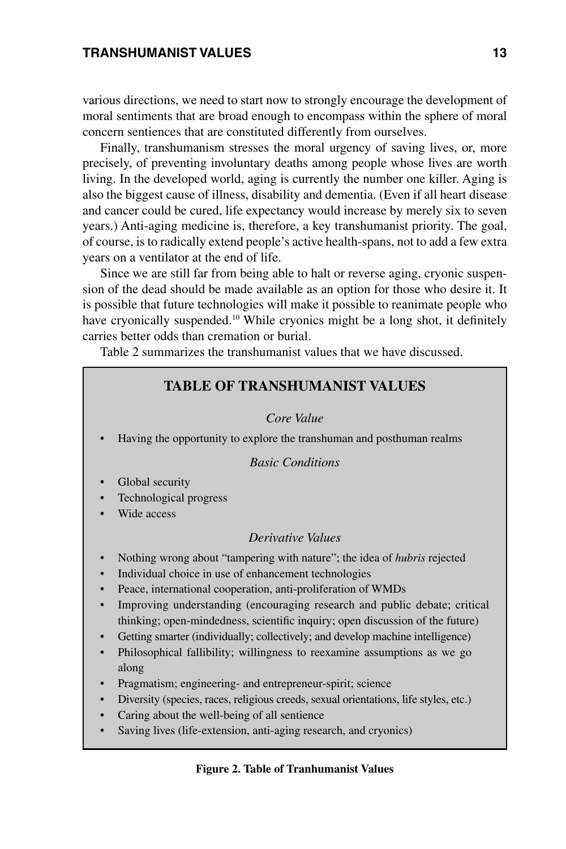various directions, we need to start now to strongly encourage the development of moral sentiments that are broad enough to encompass within the sphere of moral concern sentiences that are constituted differently from ourselves.

Finally, transhumanism stresses the moral urgency of saving lives, or, more precisely, of preventing involuntary deaths among people whose lives are worth living. In the developed world, aging is currently the number one killer. Aging is also the biggest cause of illness, disability and dementia. (Even if all heart disease and cancer could be cured, life expectancy would increase by merely six to seven years.) Anti-aging medicine is, therefore, a key transhumanist priority. The goal, of course, is to radically extend people's active health-spans, not to add a few extra years on a ventilator at the end of life.

Since we are still far from being able to halt or reverse aging, cryonic suspension of the dead should be made available as an option for those who desire it. It is possible that future technologies will make it possible to reanimate people who have cryonically suspended.<sup>10</sup> While cryonics might be a long shot, it definitely carries better odds than cremation or burial.

Table 2 summarizes the transhumanist values that we have discussed.

# **TABLE OF TRANSHUMANIST VALUES** *Core Value*

• Having the opportunity to explore the transhuman and posthuman realms

#### *Basic Conditions*

- Global security
- Technological progress
- Wide access

#### *Derivative Values*

- Nothing wrong about "tampering with nature"; the idea of *hubris* rejected
- Individual choice in use of enhancement technologies
- Peace, international cooperation, anti-proliferation of WMDs
- Improving understanding (encouraging research and public debate; critical thinking; open-mindedness, scientific inquiry; open discussion of the future)
- Getting smarter (individually; collectively; and develop machine intelligence)
- Philosophical fallibility; willingness to reexamine assumptions as we go along
- Pragmatism; engineering- and entrepreneur-spirit; science
- Diversity (species, races, religious creeds, sexual orientations, life styles, etc.)
- Caring about the well-being of all sentience
- Saving lives (life-extension, anti-aging research, and cryonics)

#### **Figure 2. Table of Tranhumanist Values**